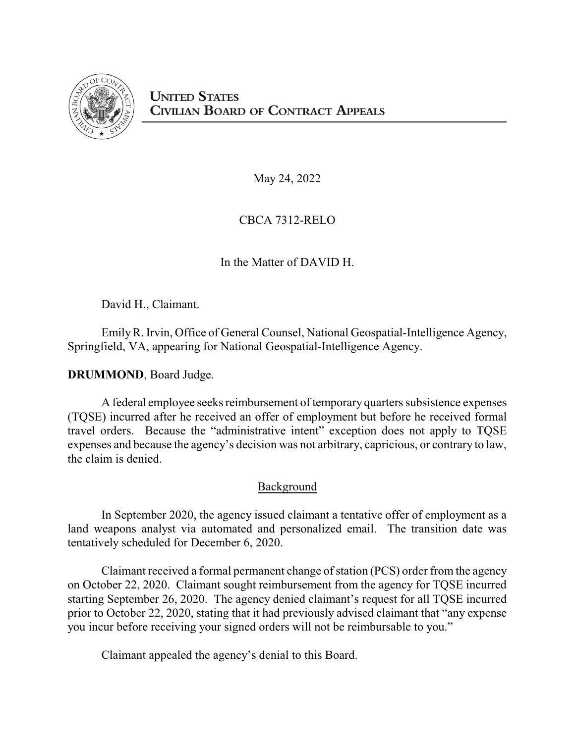

May 24, 2022

CBCA 7312-RELO

In the Matter of DAVID H.

David H., Claimant.

EmilyR. Irvin, Office of General Counsel, National Geospatial-Intelligence Agency, Springfield, VA, appearing for National Geospatial-Intelligence Agency.

**DRUMMOND**, Board Judge.

A federal employee seeks reimbursement of temporary quarters subsistence expenses (TQSE) incurred after he received an offer of employment but before he received formal travel orders. Because the "administrative intent" exception does not apply to TQSE expenses and because the agency's decision was not arbitrary, capricious, or contrary to law, the claim is denied.

## Background

In September 2020, the agency issued claimant a tentative offer of employment as a land weapons analyst via automated and personalized email. The transition date was tentatively scheduled for December 6, 2020.

Claimant received a formal permanent change of station (PCS) order from the agency on October 22, 2020. Claimant sought reimbursement from the agency for TQSE incurred starting September 26, 2020. The agency denied claimant's request for all TQSE incurred prior to October 22, 2020, stating that it had previously advised claimant that "any expense you incur before receiving your signed orders will not be reimbursable to you."

Claimant appealed the agency's denial to this Board.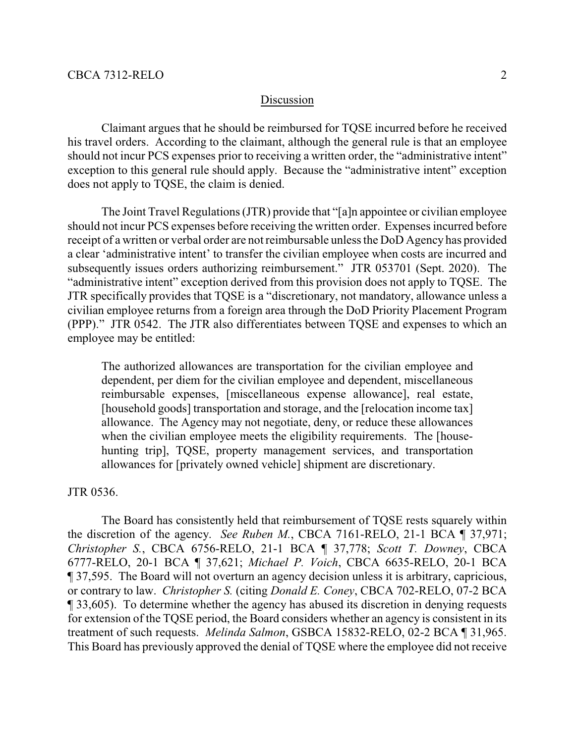## Discussion

Claimant argues that he should be reimbursed for TQSE incurred before he received his travel orders. According to the claimant, although the general rule is that an employee should not incur PCS expenses prior to receiving a written order, the "administrative intent" exception to this general rule should apply. Because the "administrative intent" exception does not apply to TQSE, the claim is denied.

The Joint Travel Regulations (JTR) provide that "[a]n appointee or civilian employee should not incur PCS expenses before receiving the written order. Expenses incurred before receipt of a written or verbal order are not reimbursable unless the DoD Agency has provided a clear 'administrative intent' to transfer the civilian employee when costs are incurred and subsequently issues orders authorizing reimbursement." JTR 053701 (Sept. 2020). The "administrative intent" exception derived from this provision does not apply to TQSE. The JTR specifically provides that TQSE is a "discretionary, not mandatory, allowance unless a civilian employee returns from a foreign area through the DoD Priority Placement Program (PPP)." JTR 0542. The JTR also differentiates between TQSE and expenses to which an employee may be entitled:

The authorized allowances are transportation for the civilian employee and dependent, per diem for the civilian employee and dependent, miscellaneous reimbursable expenses, [miscellaneous expense allowance], real estate, [household goods] transportation and storage, and the [relocation income tax] allowance. The Agency may not negotiate, deny, or reduce these allowances when the civilian employee meets the eligibility requirements. The [househunting trip], TQSE, property management services, and transportation allowances for [privately owned vehicle] shipment are discretionary.

## JTR 0536.

The Board has consistently held that reimbursement of TQSE rests squarely within the discretion of the agency. *See Ruben M.*, CBCA 7161-RELO, 21-1 BCA ¶ 37,971; *Christopher S.*, CBCA 6756-RELO, 21-1 BCA ¶ 37,778; *Scott T. Downey*, CBCA 6777-RELO, 20-1 BCA ¶ 37,621; *Michael P. Voich*, CBCA 6635-RELO, 20-1 BCA ¶ 37,595. The Board will not overturn an agency decision unless it is arbitrary, capricious, or contrary to law. *Christopher S.* (citing *Donald E. Coney*, CBCA 702-RELO, 07-2 BCA ¶ 33,605). To determine whether the agency has abused its discretion in denying requests for extension of the TQSE period, the Board considers whether an agency is consistent in its treatment of such requests. *Melinda Salmon*, GSBCA 15832-RELO, 02-2 BCA ¶ 31,965. This Board has previously approved the denial of TQSE where the employee did not receive